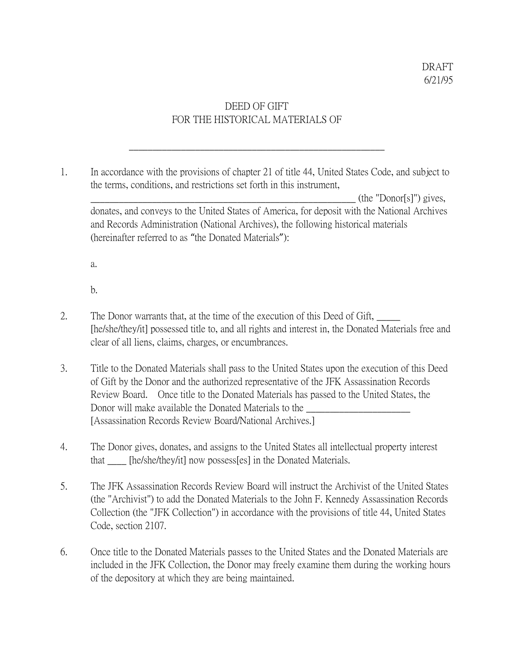## DEED OF GIFT FOR THE HISTORICAL MATERIALS OF

\_\_\_\_\_\_\_\_\_\_\_\_\_\_\_\_\_\_\_\_\_\_\_\_\_\_\_\_\_\_\_\_\_\_\_\_\_\_\_\_\_\_\_\_\_\_\_\_\_\_\_\_\_\_

1. In accordance with the provisions of chapter 21 of title 44, United States Code, and subject to the terms, conditions, and restrictions set forth in this instrument,

 $(\text{the "Donor}[s]")$  gives, donates, and conveys to the United States of America, for deposit with the National Archives and Records Administration (National Archives), the following historical materials (hereinafter referred to as "the Donated Materials"):

a.

b.

- 2. The Donor warrants that, at the time of the execution of this Deed of Gift, [he/she/they/it] possessed title to, and all rights and interest in, the Donated Materials free and clear of all liens, claims, charges, or encumbrances.
- 3. Title to the Donated Materials shall pass to the United States upon the execution of this Deed of Gift by the Donor and the authorized representative of the JFK Assassination Records Review Board. Once title to the Donated Materials has passed to the United States, the Donor will make available the Donated Materials to the \_\_\_\_\_\_\_\_\_\_\_\_\_\_\_\_\_\_\_\_\_\_ [Assassination Records Review Board/National Archives.]
- 4. The Donor gives, donates, and assigns to the United States all intellectual property interest that [he/she/they/it] now possess[es] in the Donated Materials.
- 5. The JFK Assassination Records Review Board will instruct the Archivist of the United States (the "Archivist") to add the Donated Materials to the John F. Kennedy Assassination Records Collection (the "JFK Collection") in accordance with the provisions of title 44, United States Code, section 2107.
- 6. Once title to the Donated Materials passes to the United States and the Donated Materials are included in the JFK Collection, the Donor may freely examine them during the working hours of the depository at which they are being maintained.